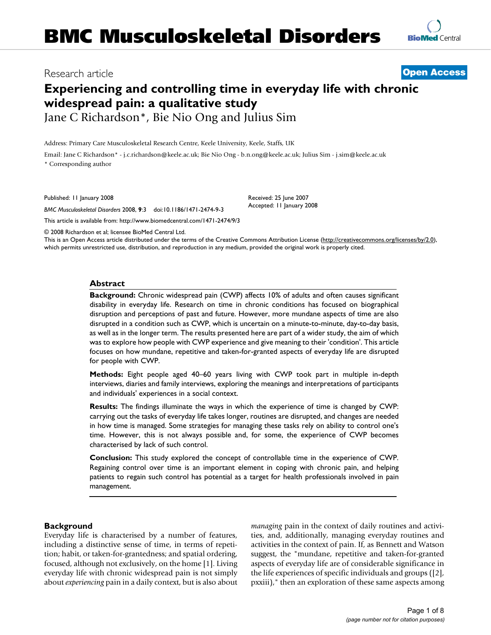# **Experiencing and controlling time in everyday life with chronic widespread pain: a qualitative study** Jane C Richardson\*, Bie Nio Ong and Julius Sim

Address: Primary Care Musculoskeletal Research Centre, Keele University, Keele, Staffs, UK

Email: Jane C Richardson\* - j.c.richardson@keele.ac.uk; Bie Nio Ong - b.n.ong@keele.ac.uk; Julius Sim - j.sim@keele.ac.uk \* Corresponding author

Published: 11 January 2008

*BMC Musculoskeletal Disorders* 2008, **9**:3 doi:10.1186/1471-2474-9-3

[This article is available from: http://www.biomedcentral.com/1471-2474/9/3](http://www.biomedcentral.com/1471-2474/9/3)

© 2008 Richardson et al; licensee BioMed Central Ltd.

This is an Open Access article distributed under the terms of the Creative Commons Attribution License [\(http://creativecommons.org/licenses/by/2.0\)](http://creativecommons.org/licenses/by/2.0), which permits unrestricted use, distribution, and reproduction in any medium, provided the original work is properly cited.

Received: 25 June 2007 Accepted: 11 January 2008

## **Abstract**

**Background:** Chronic widespread pain (CWP) affects 10% of adults and often causes significant disability in everyday life. Research on time in chronic conditions has focused on biographical disruption and perceptions of past and future. However, more mundane aspects of time are also disrupted in a condition such as CWP, which is uncertain on a minute-to-minute, day-to-day basis, as well as in the longer term. The results presented here are part of a wider study, the aim of which was to explore how people with CWP experience and give meaning to their 'condition'. This article focuses on how mundane, repetitive and taken-for-granted aspects of everyday life are disrupted for people with CWP.

**Methods:** Eight people aged 40–60 years living with CWP took part in multiple in-depth interviews, diaries and family interviews, exploring the meanings and interpretations of participants and individuals' experiences in a social context.

**Results:** The findings illuminate the ways in which the experience of time is changed by CWP: carrying out the tasks of everyday life takes longer, routines are disrupted, and changes are needed in how time is managed. Some strategies for managing these tasks rely on ability to control one's time. However, this is not always possible and, for some, the experience of CWP becomes characterised by lack of such control.

**Conclusion:** This study explored the concept of controllable time in the experience of CWP. Regaining control over time is an important element in coping with chronic pain, and helping patients to regain such control has potential as a target for health professionals involved in pain management.

## **Background**

Everyday life is characterised by a number of features, including a distinctive sense of time, in terms of repetition; habit, or taken-for-grantedness; and spatial ordering, focused, although not exclusively, on the home [1]. Living everyday life with chronic widespread pain is not simply about *experiencing* pain in a daily context, but is also about *managing* pain in the context of daily routines and activities, and, additionally, managing everyday routines and activities in the context of pain. If, as Bennett and Watson suggest, the "mundane, repetitive and taken-for-granted aspects of everyday life are of considerable significance in the life experiences of specific individuals and groups ([2], pxxiii)," then an exploration of these same aspects among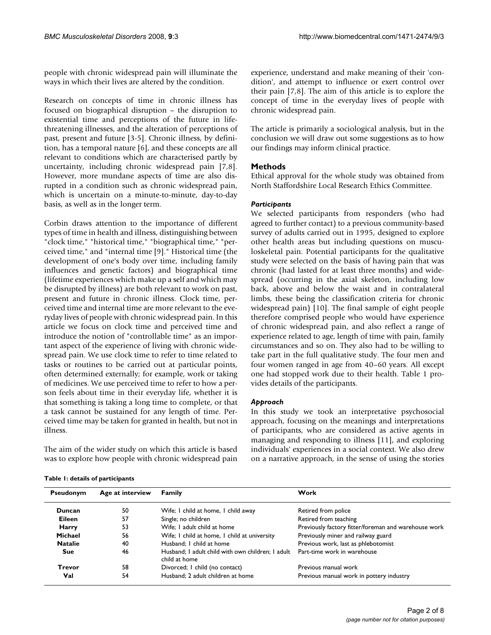people with chronic widespread pain will illuminate the ways in which their lives are altered by the condition.

Research on concepts of time in chronic illness has focused on biographical disruption – the disruption to existential time and perceptions of the future in lifethreatening illnesses, and the alteration of perceptions of past, present and future [3-5]. Chronic illness, by definition, has a temporal nature [6], and these concepts are all relevant to conditions which are characterised partly by uncertainty, including chronic widespread pain [7,8]. However, more mundane aspects of time are also disrupted in a condition such as chronic widespread pain, which is uncertain on a minute-to-minute, day-to-day basis, as well as in the longer term.

Corbin draws attention to the importance of different types of time in health and illness, distinguishing between "clock time," "historical time," "biographical time," "perceived time," and "internal time [9]." Historical time (the development of one's body over time, including family influences and genetic factors) and biographical time (lifetime experiences which make up a self and which may be disrupted by illness) are both relevant to work on past, present and future in chronic illness. Clock time, perceived time and internal time are more relevant to the everyday lives of people with chronic widespread pain. In this article we focus on clock time and perceived time and introduce the notion of "controllable time" as an important aspect of the experience of living with chronic widespread pain. We use clock time to refer to time related to tasks or routines to be carried out at particular points, often determined externally; for example, work or taking of medicines. We use perceived time to refer to how a person feels about time in their everyday life, whether it is that something is taking a long time to complete, or that a task cannot be sustained for any length of time. Perceived time may be taken for granted in health, but not in illness.

The aim of the wider study on which this article is based was to explore how people with chronic widespread pain

experience, understand and make meaning of their 'condition', and attempt to influence or exert control over their pain [7,8]. The aim of this article is to explore the concept of time in the everyday lives of people with chronic widespread pain.

The article is primarily a sociological analysis, but in the conclusion we will draw out some suggestions as to how our findings may inform clinical practice.

## **Methods**

Ethical approval for the whole study was obtained from North Staffordshire Local Research Ethics Committee.

#### *Participants*

We selected participants from responders (who had agreed to further contact) to a previous community-based survey of adults carried out in 1995, designed to explore other health areas but including questions on musculoskeletal pain. Potential participants for the qualitative study were selected on the basis of having pain that was chronic (had lasted for at least three months) and widespread (occurring in the axial skeleton, including low back, above and below the waist and in contralateral limbs, these being the classification criteria for chronic widespread pain) [10]. The final sample of eight people therefore comprised people who would have experience of chronic widespread pain, and also reflect a range of experience related to age, length of time with pain, family circumstances and so on. They also had to be willing to take part in the full qualitative study. The four men and four women ranged in age from 40–60 years. All except one had stopped work due to their health. Table 1 provides details of the participants.

## *Approach*

In this study we took an interpretative psychosocial approach, focusing on the meanings and interpretations of participants, who are considered as active agents in managing and responding to illness [11], and exploring individuals' experiences in a social context. We also drew on a narrative approach, in the sense of using the stories

|  |  | Table 1: details of participants |  |
|--|--|----------------------------------|--|
|  |  |                                  |  |

| Pseudonym      | Age at interview | <b>Family</b>                                                      | Work                                                 |
|----------------|------------------|--------------------------------------------------------------------|------------------------------------------------------|
| Duncan         | 50               | Wife; I child at home, I child away                                | Retired from police                                  |
| Eileen         | 57               | Single; no children                                                | Retired from teaching                                |
| <b>Harry</b>   | 53               | Wife: I adult child at home                                        | Previously factory fitter/foreman and warehouse work |
| Michael        | 56               | Wife; I child at home, I child at university                       | Previously miner and railway guard                   |
| <b>Natalie</b> | 40               | Husband: I child at home                                           | Previous work, last as phlebotomist                  |
| Sue            | 46               | Husband: I adult child with own children: I adult<br>child at home | Part-time work in warehouse                          |
| Trevor         | 58               | Divorced; I child (no contact)                                     | Previous manual work                                 |
| Val            | 54               | Husband; 2 adult children at home                                  | Previous manual work in pottery industry             |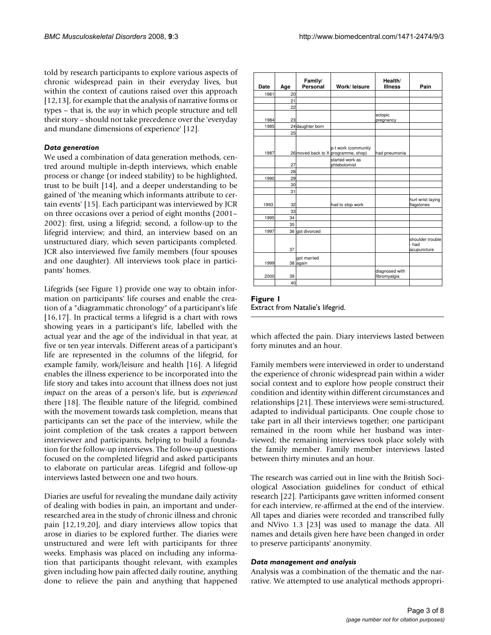told by research participants to explore various aspects of chronic widespread pain in their everyday lives, but within the context of cautions raised over this approach [12,13], for example that the analysis of narrative forms or types – that is, the *way* in which people structure and tell their story – should not take precedence over the 'everyday and mundane dimensions of experience' [12].

## *Data generation*

We used a combination of data generation methods, centred around multiple in-depth interviews, which enable process or change (or indeed stability) to be highlighted, trust to be built [14], and a deeper understanding to be gained of 'the meaning which informants attribute to certain events' [15]. Each participant was interviewed by JCR on three occasions over a period of eight months (2001– 2002): first, using a lifegrid; second, a follow-up to the lifegrid interview; and third, an interview based on an unstructured diary, which seven participants completed. JCR also interviewed five family members (four spouses and one daughter). All interviews took place in participants' homes.

Lifegrids (see Figure 1) provide one way to obtain information on participants' life courses and enable the creation of a "diagrammatic chronology" of a participant's life [16,17]. In practical terms a lifegrid is a chart with rows showing years in a participant's life, labelled with the actual year and the age of the individual in that year, at five or ten year intervals. Different areas of a participant's life are represented in the columns of the lifegrid, for example family, work/leisure and health [16]. A lifegrid enables the illness experience to be incorporated into the life story and takes into account that illness does not just *impact* on the areas of a person's life, but is *experienced* there [18]. The flexible nature of the lifegrid, combined with the movement towards task completion, means that participants can set the pace of the interview, while the joint completion of the task creates a rapport between interviewer and participants, helping to build a foundation for the follow-up interviews. The follow-up questions focused on the completed lifegrid and asked participants to elaborate on particular areas. Lifegrid and follow-up interviews lasted between one and two hours.

Diaries are useful for revealing the mundane daily activity of dealing with bodies in pain, an important and underresearched area in the study of chronic illness and chronic pain [12,19,20], and diary interviews allow topics that arose in diaries to be explored further. The diaries were unstructured and were left with participants for three weeks. Emphasis was placed on including any information that participants thought relevant, with examples given including how pain affected daily routine, anything done to relieve the pain and anything that happened

|      |     | Family/<br>Personal     |                                                            | Health/                        |                                          |
|------|-----|-------------------------|------------------------------------------------------------|--------------------------------|------------------------------------------|
| Date | Age |                         | Work/ leisure                                              | <b>Illness</b>                 | Pain                                     |
| 1981 | 20  |                         |                                                            |                                |                                          |
|      | 21  |                         |                                                            |                                |                                          |
|      | 22  |                         |                                                            |                                |                                          |
| 1984 | 23  |                         |                                                            | ectopic<br>pregnancy           |                                          |
| 1985 |     | 24 daughter born        |                                                            |                                |                                          |
|      | 25  |                         |                                                            |                                |                                          |
|      |     |                         |                                                            |                                |                                          |
| 1987 |     |                         | p-t work (community<br>26 moved back to X programme, shop) | had pneumonia                  |                                          |
|      | 27  |                         | started work as<br>phlebotomist                            |                                |                                          |
|      | 28  |                         |                                                            |                                |                                          |
| 1990 | 29  |                         |                                                            |                                |                                          |
|      | 30  |                         |                                                            |                                |                                          |
|      | 31  |                         |                                                            |                                |                                          |
|      |     |                         |                                                            |                                | hurt wrist laying                        |
| 1993 | 32  |                         | had to stop work                                           |                                | flagstones                               |
|      | 33  |                         |                                                            |                                |                                          |
| 1995 | 34  |                         |                                                            |                                |                                          |
|      | 35  |                         |                                                            |                                |                                          |
| 1997 |     | 36 got divorced         |                                                            |                                |                                          |
|      | 37  |                         |                                                            |                                | shoulder trouble<br>- had<br>acupuncture |
| 1999 |     | got married<br>38 again |                                                            |                                |                                          |
| 2000 | 39  |                         |                                                            | diagnosed with<br>fibromyalgia |                                          |
|      | 40  |                         |                                                            |                                |                                          |
|      |     |                         |                                                            |                                |                                          |

**Figure 1** Extract from Natalie's lifegrid.

which affected the pain. Diary interviews lasted between forty minutes and an hour.

Family members were interviewed in order to understand the experience of chronic widespread pain within a wider social context and to explore how people construct their condition and identity within different circumstances and relationships [21]. These interviews were semi-structured, adapted to individual participants. One couple chose to take part in all their interviews together; one participant remained in the room while her husband was interviewed; the remaining interviews took place solely with the family member. Family member interviews lasted between thirty minutes and an hour.

The research was carried out in line with the British Sociological Association guidelines for conduct of ethical research [22]. Participants gave written informed consent for each interview, re-affirmed at the end of the interview. All tapes and diaries were recorded and transcribed fully and NVivo 1.3 [23] was used to manage the data. All names and details given here have been changed in order to preserve participants' anonymity.

## *Data management and analysis*

Analysis was a combination of the thematic and the narrative. We attempted to use analytical methods appropri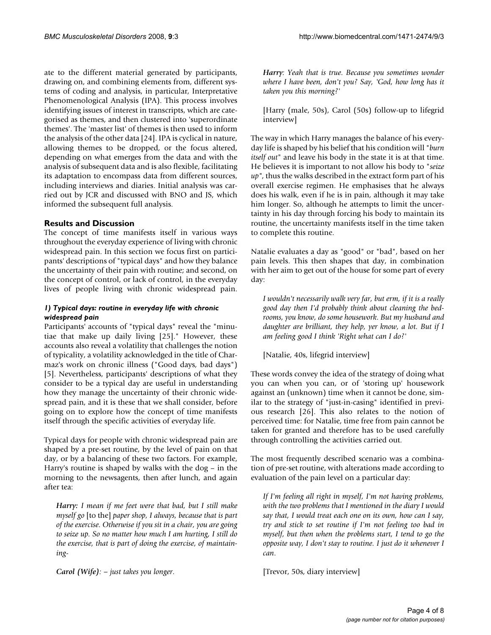ate to the different material generated by participants, drawing on, and combining elements from, different systems of coding and analysis, in particular, Interpretative Phenomenological Analysis (IPA). This process involves identifying issues of interest in transcripts, which are categorised as themes, and then clustered into 'superordinate themes'. The 'master list' of themes is then used to inform the analysis of the other data [24]. IPA is cyclical in nature, allowing themes to be dropped, or the focus altered, depending on what emerges from the data and with the analysis of subsequent data and is also flexible, facilitating its adaptation to encompass data from different sources, including interviews and diaries. Initial analysis was carried out by JCR and discussed with BNO and JS, which informed the subsequent full analysis.

## **Results and Discussion**

The concept of time manifests itself in various ways throughout the everyday experience of living with chronic widespread pain. In this section we focus first on participants' descriptions of "typical days" and how they balance the uncertainty of their pain with routine; and second, on the concept of control, or lack of control, in the everyday lives of people living with chronic widespread pain.

## *1) Typical days: routine in everyday life with chronic widespread pain*

Participants' accounts of "typical days" reveal the "minutiae that make up daily living [25]." However, these accounts also reveal a volatility that challenges the notion of typicality, a volatility acknowledged in the title of Charmaz's work on chronic illness ("Good days, bad days") [5]. Nevertheless, participants' descriptions of what they consider to be a typical day are useful in understanding how they manage the uncertainty of their chronic widespread pain, and it is these that we shall consider, before going on to explore how the concept of time manifests itself through the specific activities of everyday life.

Typical days for people with chronic widespread pain are shaped by a pre-set routine, by the level of pain on that day, or by a balancing of these two factors. For example, Harry's routine is shaped by walks with the dog – in the morning to the newsagents, then after lunch, and again after tea:

*Harry: I mean if me feet were that bad, but I still make myself go* [to the] *paper shop, I always, because that is part of the exercise. Otherwise if you sit in a chair, you are going to seize up. So no matter how much I am hurting, I still do the exercise, that is part of doing the exercise, of maintaining*-

*Carol (Wife): – just takes you longer*.

*Harry: Yeah that is true. Because you sometimes wonder where I have been, don't you? Say, 'God, how long has it taken you this morning?'*

[Harry (male, 50s), Carol (50s) follow-up to lifegrid interview]

The way in which Harry manages the balance of his everyday life is shaped by his belief that his condition will "*burn itself out*" and leave his body in the state it is at that time. He believes it is important to not allow his body to "*seize up"*, thus the walks described in the extract form part of his overall exercise regimen. He emphasises that he always does his walk, even if he is in pain, although it may take him longer. So, although he attempts to limit the uncertainty in his day through forcing his body to maintain its routine, the uncertainty manifests itself in the time taken to complete this routine.

Natalie evaluates a day as "good" or "bad", based on her pain levels. This then shapes that day, in combination with her aim to get out of the house for some part of every day:

*I wouldn't necessarily walk very far, but erm, if it is a really good day then I'd probably think about cleaning the bedrooms, you know, do some housework. But my husband and daughter are brilliant, they help, yer know, a lot. But if I am feeling good I think 'Right what can I do?'*

[Natalie, 40s, lifegrid interview]

These words convey the idea of the strategy of doing what you can when you can, or of 'storing up' housework against an (unknown) time when it cannot be done, similar to the strategy of "just-in-casing" identified in previous research [26]. This also relates to the notion of perceived time: for Natalie, time free from pain cannot be taken for granted and therefore has to be used carefully through controlling the activities carried out.

The most frequently described scenario was a combination of pre-set routine, with alterations made according to evaluation of the pain level on a particular day:

*If I'm feeling all right in myself, I'm not having problems, with the two problems that I mentioned in the diary I would say that, I would treat each one on its own, how can I say, try and stick to set routine if I'm not feeling too bad in myself, but then when the problems start, I tend to go the opposite way, I don't stay to routine. I just do it whenever I can*.

[Trevor, 50s, diary interview]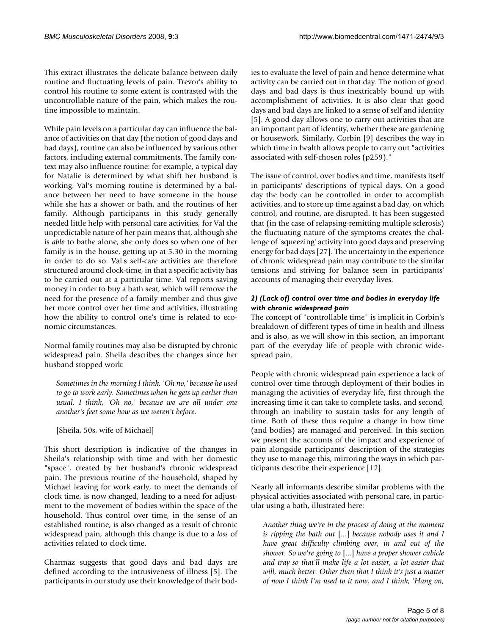This extract illustrates the delicate balance between daily routine and fluctuating levels of pain. Trevor's ability to control his routine to some extent is contrasted with the uncontrollable nature of the pain, which makes the routine impossible to maintain.

While pain levels on a particular day can influence the balance of activities on that day (the notion of good days and bad days), routine can also be influenced by various other factors, including external commitments. The family context may also influence routine: for example, a typical day for Natalie is determined by what shift her husband is working. Val's morning routine is determined by a balance between her need to have someone in the house while she has a shower or bath, and the routines of her family. Although participants in this study generally needed little help with personal care activities, for Val the unpredictable nature of her pain means that, although she is *able* to bathe alone, she only does so when one of her family is in the house, getting up at 5.30 in the morning in order to do so. Val's self-care activities are therefore structured around clock-time, in that a specific activity has to be carried out at a particular time. Val reports saving money in order to buy a bath seat, which will remove the need for the presence of a family member and thus give her more control over her time and activities, illustrating how the ability to control one's time is related to economic circumstances.

Normal family routines may also be disrupted by chronic widespread pain. Sheila describes the changes since her husband stopped work:

*Sometimes in the morning I think, 'Oh no,' because he used to go to work early. Sometimes when he gets up earlier than usual, I think, 'Oh no,' because we are all under one another's feet some how as we weren't before*.

[Sheila, 50s, wife of Michael]

This short description is indicative of the changes in Sheila's relationship with time and with her domestic "space", created by her husband's chronic widespread pain. The previous routine of the household, shaped by Michael leaving for work early, to meet the demands of clock time, is now changed, leading to a need for adjustment to the movement of bodies within the space of the household. Thus control over time, in the sense of an established routine, is also changed as a result of chronic widespread pain, although this change is due to a *loss* of activities related to clock time.

Charmaz suggests that good days and bad days are defined according to the intrusiveness of illness [5]. The participants in our study use their knowledge of their bodies to evaluate the level of pain and hence determine what activity can be carried out in that day. The notion of good days and bad days is thus inextricably bound up with accomplishment of activities. It is also clear that good days and bad days are linked to a sense of self and identity [5]. A good day allows one to carry out activities that are an important part of identity, whether these are gardening or housework. Similarly, Corbin [9] describes the way in which time in health allows people to carry out "activities associated with self-chosen roles (p259)."

The issue of control, over bodies and time, manifests itself in participants' descriptions of typical days. On a good day the body can be controlled in order to accomplish activities, and to store up time against a bad day, on which control, and routine, are disrupted. It has been suggested that (in the case of relapsing-remitting multiple sclerosis) the fluctuating nature of the symptoms creates the challenge of 'squeezing' activity into good days and preserving energy for bad days [27]. The uncertainty in the experience of chronic widespread pain may contribute to the similar tensions and striving for balance seen in participants' accounts of managing their everyday lives.

## *2) (Lack of) control over time and bodies in everyday life with chronic widespread pain*

The concept of "controllable time" is implicit in Corbin's breakdown of different types of time in health and illness and is also, as we will show in this section, an important part of the everyday life of people with chronic widespread pain.

People with chronic widespread pain experience a lack of control over time through deployment of their bodies in managing the activities of everyday life, first through the increasing time it can take to complete tasks, and second, through an inability to sustain tasks for any length of time. Both of these thus require a change in how time (and bodies) are managed and perceived. In this section we present the accounts of the impact and experience of pain alongside participants' description of the strategies they use to manage this, mirroring the ways in which participants describe their experience [12].

Nearly all informants describe similar problems with the physical activities associated with personal care, in particular using a bath, illustrated here:

*Another thing we're in the process of doing at the moment is ripping the bath out* [...] *because nobody uses it and I have great difficulty climbing over, in and out of the shower. So we're going to* [...] *have a proper shower cubicle and tray so that'll make life a lot easier, a lot easier that will, much better. Other than that I think it's just a matter of now I think I'm used to it now, and I think, 'Hang on,*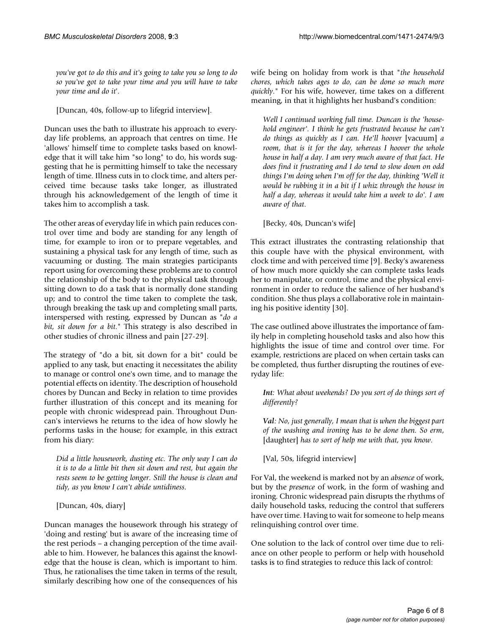*you've got to do this and it's going to take you so long to do so you've got to take your time and you will have to take your time and do it*'.

[Duncan, 40s, follow-up to lifegrid interview].

Duncan uses the bath to illustrate his approach to everyday life problems, an approach that centres on time. He 'allows' himself time to complete tasks based on knowledge that it will take him "so long" to do, his words suggesting that he is permitting himself to take the necessary length of time. Illness cuts in to clock time, and alters perceived time because tasks take longer, as illustrated through his acknowledgement of the length of time it takes him to accomplish a task.

The other areas of everyday life in which pain reduces control over time and body are standing for any length of time, for example to iron or to prepare vegetables, and sustaining a physical task for any length of time, such as vacuuming or dusting. The main strategies participants report using for overcoming these problems are to control the relationship of the body to the physical task through sitting down to do a task that is normally done standing up; and to control the time taken to complete the task, through breaking the task up and completing small parts, interspersed with resting, expressed by Duncan as "*do a bit, sit down for a bit*." This strategy is also described in other studies of chronic illness and pain [27-29].

The strategy of "do a bit, sit down for a bit" could be applied to any task, but enacting it necessitates the ability to manage or control one's own time, and to manage the potential effects on identity. The description of household chores by Duncan and Becky in relation to time provides further illustration of this concept and its meaning for people with chronic widespread pain. Throughout Duncan's interviews he returns to the idea of how slowly he performs tasks in the house; for example, in this extract from his diary:

*Did a little housework, dusting etc. The only way I can do it is to do a little bit then sit down and rest, but again the rests seem to be getting longer. Still the house is clean and tidy, as you know I can't abide untidiness*.

[Duncan, 40s, diary]

Duncan manages the housework through his strategy of 'doing and resting' but is aware of the increasing time of the rest periods – a changing perception of the time available to him. However, he balances this against the knowledge that the house is clean, which is important to him. Thus, he rationalises the time taken in terms of the result, similarly describing how one of the consequences of his wife being on holiday from work is that "*the household chores, which takes ages to do, can be done so much more quickly*." For his wife, however, time takes on a different meaning, in that it highlights her husband's condition:

*Well I continued working full time. Duncan is the 'household engineer'. I think he gets frustrated because he can't do things as quickly as I can. He'll hoover* [vacuum] *a room, that is it for the day, whereas I hoover the whole house in half a day. I am very much aware of that fact. He does find it frustrating and I do tend to slow down on odd things I'm doing when I'm off for the day, thinking 'Well it would be rubbing it in a bit if I whiz through the house in half a day, whereas it would take him a week to do'. I am aware of that*.

[Becky, 40s, Duncan's wife]

This extract illustrates the contrasting relationship that this couple have with the physical environment, with clock time and with perceived time [9]. Becky's awareness of how much more quickly she can complete tasks leads her to manipulate, or control, time and the physical environment in order to reduce the salience of her husband's condition. She thus plays a collaborative role in maintaining his positive identity [30].

The case outlined above illustrates the importance of family help in completing household tasks and also how this highlights the issue of time and control over time. For example, restrictions are placed on when certain tasks can be completed, thus further disrupting the routines of everyday life:

*Int: What about weekends? Do you sort of do things sort of differently?*

*Val: No, just generally, I mean that is when the biggest part of the washing and ironing has to be done then. So erm*, [daughter] *has to sort of help me with that, you know*.

[Val, 50s, lifegrid interview]

For Val, the weekend is marked not by an *absence* of work, but by the *presence* of work, in the form of washing and ironing. Chronic widespread pain disrupts the rhythms of daily household tasks, reducing the control that sufferers have over time. Having to wait for someone to help means relinquishing control over time.

One solution to the lack of control over time due to reliance on other people to perform or help with household tasks is to find strategies to reduce this lack of control: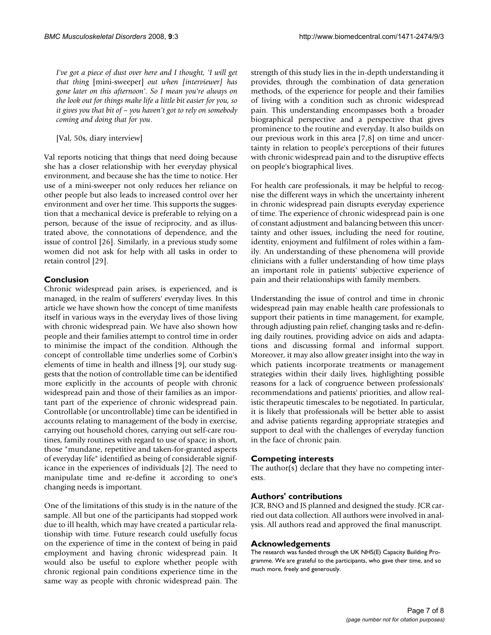*I've got a piece of dust over here and I thought, 'I will get that thing* [mini-sweeper] *out when [interviewer] has gone later on this afternoon'. So I mean you're always on the look out for things make life a little bit easier for you, so it gives you that bit of – you haven't got to rely on somebody coming and doing that for you*.

[Val, 50s, diary interview]

Val reports noticing that things that need doing because she has a closer relationship with her everyday physical environment, and because she has the time to notice. Her use of a mini-sweeper not only reduces her reliance on other people but also leads to increased control over her environment and over her time. This supports the suggestion that a mechanical device is preferable to relying on a person, because of the issue of reciprocity, and as illustrated above, the connotations of dependence, and the issue of control [26]. Similarly, in a previous study some women did not ask for help with all tasks in order to retain control [29].

## **Conclusion**

Chronic widespread pain arises, is experienced, and is managed, in the realm of sufferers' everyday lives. In this article we have shown how the concept of time manifests itself in various ways in the everyday lives of those living with chronic widespread pain. We have also shown how people and their families attempt to control time in order to minimise the impact of the condition. Although the concept of controllable time underlies some of Corbin's elements of time in health and illness [9], our study suggests that the notion of controllable time can be identified more explicitly in the accounts of people with chronic widespread pain and those of their families as an important part of the experience of chronic widespread pain. Controllable (or uncontrollable) time can be identified in accounts relating to management of the body in exercise, carrying out household chores, carrying out self-care routines, family routines with regard to use of space; in short, those "mundane, repetitive and taken-for-granted aspects of everyday life" identified as being of considerable significance in the experiences of individuals [2]. The need to manipulate time and re-define it according to one's changing needs is important.

One of the limitations of this study is in the nature of the sample. All but one of the participants had stopped work due to ill health, which may have created a particular relationship with time. Future research could usefully focus on the experience of time in the context of being in paid employment and having chronic widespread pain. It would also be useful to explore whether people with chronic regional pain conditions experience time in the same way as people with chronic widespread pain. The strength of this study lies in the in-depth understanding it provides, through the combination of data generation methods, of the experience for people and their families of living with a condition such as chronic widespread pain. This understanding encompasses both a broader biographical perspective and a perspective that gives prominence to the routine and everyday. It also builds on our previous work in this area [7,8] on time and uncertainty in relation to people's perceptions of their futures with chronic widespread pain and to the disruptive effects on people's biographical lives.

For health care professionals, it may be helpful to recognise the different ways in which the uncertainty inherent in chronic widespread pain disrupts everyday experience of time. The experience of chronic widespread pain is one of constant adjustment and balancing between this uncertainty and other issues, including the need for routine, identity, enjoyment and fulfilment of roles within a family. An understanding of these phenomena will provide clinicians with a fuller understanding of how time plays an important role in patients' subjective experience of pain and their relationships with family members.

Understanding the issue of control and time in chronic widespread pain may enable health care professionals to support their patients in time management, for example, through adjusting pain relief, changing tasks and re-defining daily routines, providing advice on aids and adaptations and discussing formal and informal support. Moreover, it may also allow greater insight into the way in which patients incorporate treatments or management strategies within their daily lives, highlighting possible reasons for a lack of congruence between professionals' recommendations and patients' priorities, and allow realistic therapeutic timescales to be negotiated. In particular, it is likely that professionals will be better able to assist and advise patients regarding appropriate strategies and support to deal with the challenges of everyday function in the face of chronic pain.

## **Competing interests**

The author(s) declare that they have no competing interests.

## **Authors' contributions**

JCR, BNO and JS planned and designed the study. JCR carried out data collection. All authors were involved in analysis. All authors read and approved the final manuscript.

### **Acknowledgements**

The research was funded through the UK NHS(E) Capacity Building Programme. We are grateful to the participants, who gave their time, and so much more, freely and generously.